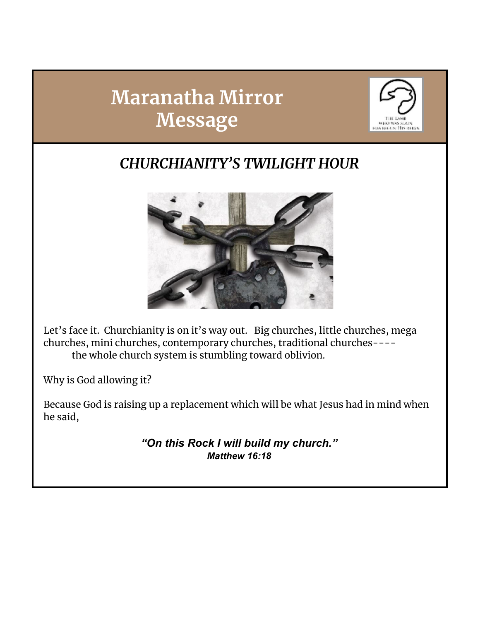# **Maranatha Mirror Message**



### *CHURCHIANITY'S TWILIGHT HOUR*



Let's face it. Churchianity is on it's way out. Big churches, little churches, mega churches, mini churches, contemporary churches, traditional churches--- the whole church system is stumbling toward oblivion.

Why is God allowing it?

Because God is raising up a replacement which will be what Jesus had in mind when he said,

> *"On this Rock I will build my church." Matthew 16:18*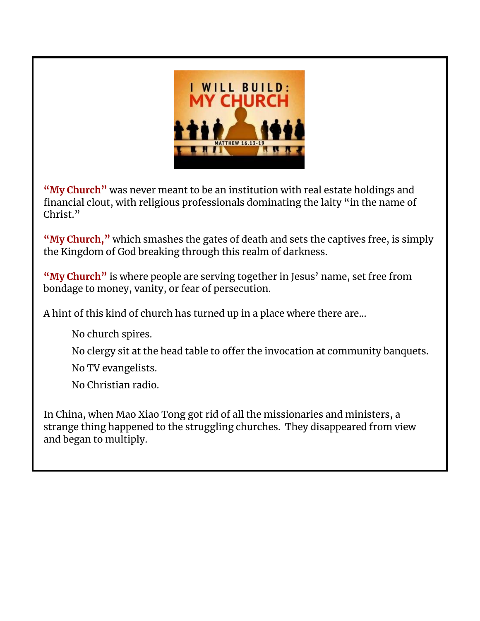

**"My Church"** was never meant to be an institution with real estate holdings and financial clout, with religious professionals dominating the laity "in the name of Christ."

**"My Church, "** which smashes the gates of death and sets the captives free, is simply the Kingdom of God breaking through this realm of darkness.

**"My Church"** is where people are serving together in Jesus' name, set free from bondage to money, vanity, or fear of persecution.

A hint of this kind of church has turned up in a place where there are…

No church spires.

No clergy sit at the head table to offer the invocation at community banquets.

No TV evangelists.

No Christian radio.

In China, when Mao Xiao Tong got rid of all the missionaries and ministers, a strange thing happened to the struggling churches. They disappeared from view and began to multiply.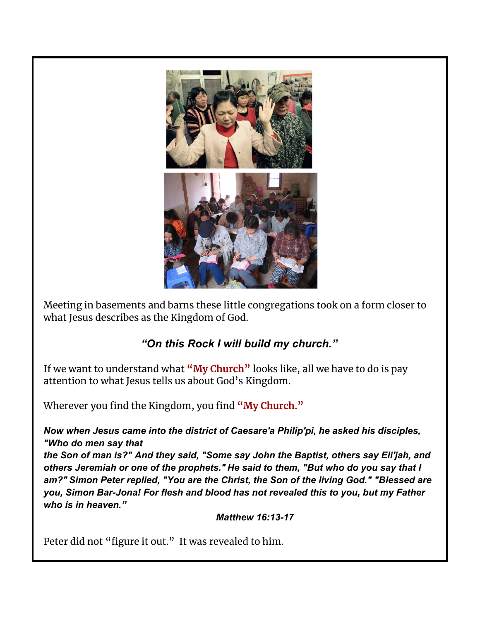

Meeting in basements and barns these little congregations took on a form closer to what Jesus describes as the Kingdom of God.

#### *"On this Rock I will build my church."*

If we want to understand what **"My Church"** looks like, all we have to do is pay attention to what Jesus tells us about God's Kingdom.

Wherever you find the Kingdom, you find **"My Church."**

*Now when Jesus came into the district of Caesare'a Philip'pi, he asked his disciples, "Who do men say that*

*the Son of man is?" And they said, "Some say John the Baptist, others say Eli'jah, and others Jeremiah or one of the prophets." He said to them, "But who do you say that I am?" Simon Peter replied, "You are the Christ, the Son of the living God." "Blessed are you, Simon Bar-Jona! For flesh and blood has not revealed this to you, but my Father who is in heaven."*

 *Matthew 16:13-17*

Peter did not "figure it out." It was revealed to him.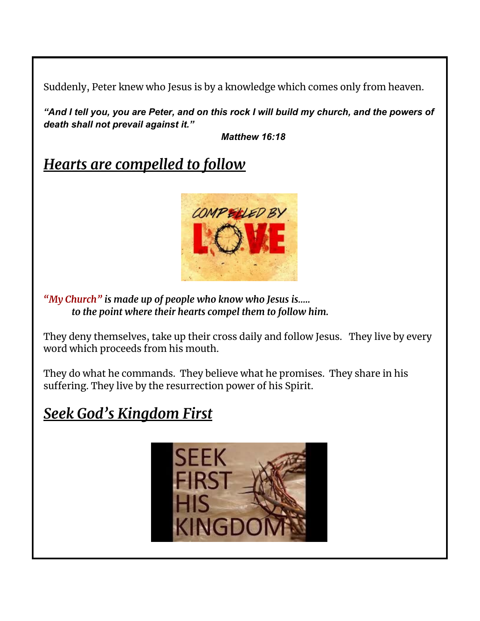Suddenly, Peter knew who Jesus is by a knowledge which comes only from heaven.

*"And I tell you, you are Peter, and on this rock I will build my church, and the powers of death shall not prevail against it."*

*Matthew 16:18*

*Hearts are compelled to follow*



*"My Church" is made up of people who know who Jesus is….. to the point where their hearts compel them to follow him.*

They deny themselves, take up their cross daily and follow Jesus. They live by every word which proceeds from his mouth.

They do what he commands. They believe what he promises. They share in his suffering. They live by the resurrection power of his Spirit.

### *Seek God's Kingdom First*

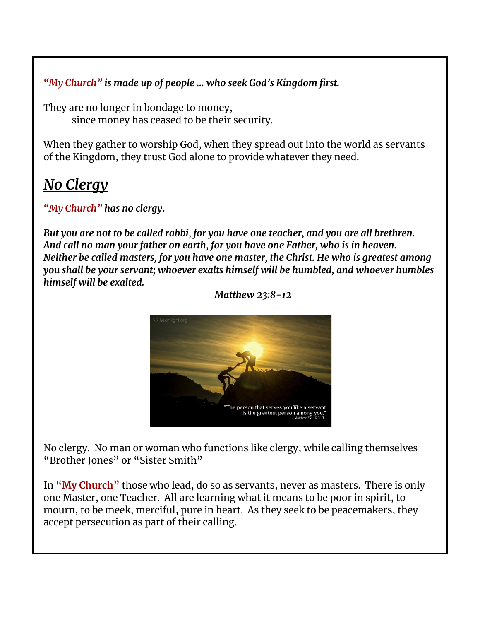*"My Church" is made up of people ... who seek God's Kingdom first.*

They are no longer in bondage to money, since money has ceased to be their security.

When they gather to worship God, when they spread out into the world as servants of the Kingdom, they trust God alone to provide whatever they need.

#### *No Clergy*

*"My Church" has no clergy***.**

*But you are not to be called rabbi, for you have one teacher, and you are all brethren. And call no man your father on earth, for you have one Father, who is in heaven. Neither be called masters, for you have one master, the Christ. He who is greatest among you shall be your servant; whoever exalts himself will be humbled, and whoever humbles himself will be exalted.*



*Matthew 23:8-12*

No clergy. No man or woman who functions like clergy, while calling themselves "Brother Jones" or "Sister Smith"

In **"My Church"** those who lead, do so as servants, never as masters. There is only one Master, one Teacher. All are learning what it means to be poor in spirit, to mourn, to be meek, merciful, pure in heart. As they seek to be peacemakers, they accept persecution as part of their calling.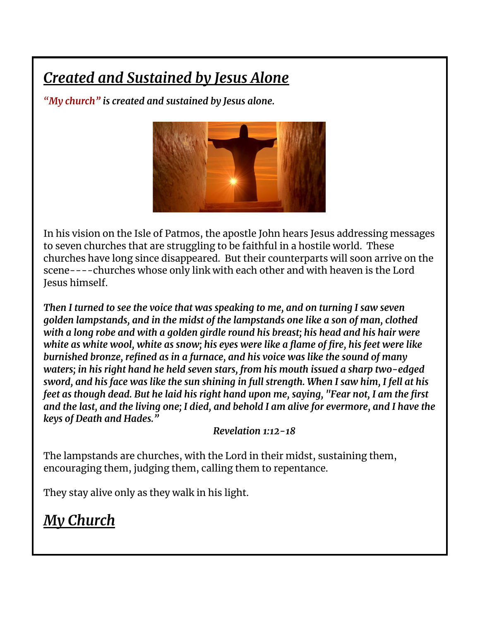## *Created and Sustained by Jesus Alone*

*"My church" is created and sustained by Jesus alone.*



In his vision on the Isle of Patmos, the apostle John hears Jesus addressing messages to seven churches that are struggling to be faithful in a hostile world. These churches have long since disappeared. But their counterparts will soon arrive on the scene----churches whose only link with each other and with heaven is the Lord Jesus himself.

*Then I turned to see the voice that was speaking to me, and on turning I saw seven golden lampstands, and in the midst of the lampstands one like a son of man, clothed with a long robe and with a golden girdle round his breast; his head and his hair were white as white wool, white as snow; his eyes were like a flame of fire, his feet were like burnished bronze, refined as in a furnace, and his voice was like the sound of many waters; in his right hand he held seven stars, from his mouth issued a sharp two-edged* sword, and his face was like the sun shining in full strength. When I saw him, I fell at his *feet as though dead. But he laid his right hand upon me, saying, "Fear not, I am the first* and the last, and the living one; I died, and behold I am alive for evermore, and I have the *keys of Death and Hades."*

*Revelation 1:12-18*

The lampstands are churches, with the Lord in their midst, sustaining them, encouraging them, judging them, calling them to repentance.

They stay alive only as they walk in his light.

### *My Church*